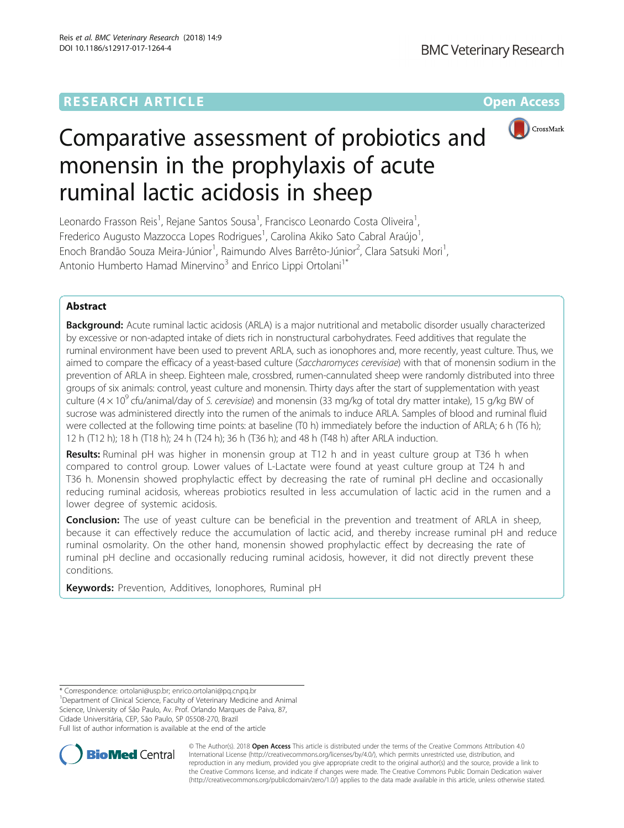## **RESEARCH ARTICLE Example 2014 12:30 The Contract of Contract ACCESS**



# Comparative assessment of probiotics and monensin in the prophylaxis of acute ruminal lactic acidosis in sheep

Leonardo Frasson Reis<sup>1</sup>, Rejane Santos Sousa<sup>1</sup>, Francisco Leonardo Costa Oliveira<sup>1</sup> , Frederico Augusto Mazzocca Lopes Rodrigues<sup>1</sup>, Carolina Akiko Sato Cabral Araújo<sup>1</sup> , Enoch Brandão Souza Meira-Júnior<sup>1</sup>, Raimundo Alves Barrêto-Júnior<sup>2</sup>, Clara Satsuki Mori<sup>1</sup> , Antonio Humberto Hamad Minervino<sup>3</sup> and Enrico Lippi Ortolani<sup>1\*</sup>

## Abstract

Background: Acute ruminal lactic acidosis (ARLA) is a major nutritional and metabolic disorder usually characterized by excessive or non-adapted intake of diets rich in nonstructural carbohydrates. Feed additives that regulate the ruminal environment have been used to prevent ARLA, such as ionophores and, more recently, yeast culture. Thus, we aimed to compare the efficacy of a yeast-based culture (Saccharomyces cerevisiae) with that of monensin sodium in the prevention of ARLA in sheep. Eighteen male, crossbred, rumen-cannulated sheep were randomly distributed into three groups of six animals: control, yeast culture and monensin. Thirty days after the start of supplementation with yeast culture ( $4 \times 10^9$  cfu/animal/day of S. cerevisiae) and monensin (33 mg/kg of total dry matter intake), 15 g/kg BW of sucrose was administered directly into the rumen of the animals to induce ARLA. Samples of blood and ruminal fluid were collected at the following time points: at baseline (T0 h) immediately before the induction of ARLA; 6 h (T6 h); 12 h (T12 h); 18 h (T18 h); 24 h (T24 h); 36 h (T36 h); and 48 h (T48 h) after ARLA induction.

Results: Ruminal pH was higher in monensin group at T12 h and in yeast culture group at T36 h when compared to control group. Lower values of L-Lactate were found at yeast culture group at T24 h and T36 h. Monensin showed prophylactic effect by decreasing the rate of ruminal pH decline and occasionally reducing ruminal acidosis, whereas probiotics resulted in less accumulation of lactic acid in the rumen and a lower degree of systemic acidosis.

**Conclusion:** The use of yeast culture can be beneficial in the prevention and treatment of ARLA in sheep, because it can effectively reduce the accumulation of lactic acid, and thereby increase ruminal pH and reduce ruminal osmolarity. On the other hand, monensin showed prophylactic effect by decreasing the rate of ruminal pH decline and occasionally reducing ruminal acidosis, however, it did not directly prevent these conditions.

Keywords: Prevention, Additives, Ionophores, Ruminal pH

\* Correspondence: [ortolani@usp.br](mailto:ortolani@usp.br); [enrico.ortolani@pq.cnpq.br](mailto:enrico.ortolani@pq.cnpq.br) <sup>1</sup> <sup>1</sup>Department of Clinical Science, Faculty of Veterinary Medicine and Animal Science, University of São Paulo, Av. Prof. Orlando Marques de Paiva, 87, Cidade Universitária, CEP, São Paulo, SP 05508-270, Brazil Full list of author information is available at the end of the article



© The Author(s). 2018 Open Access This article is distributed under the terms of the Creative Commons Attribution 4.0 International License [\(http://creativecommons.org/licenses/by/4.0/](http://creativecommons.org/licenses/by/4.0/)), which permits unrestricted use, distribution, and reproduction in any medium, provided you give appropriate credit to the original author(s) and the source, provide a link to the Creative Commons license, and indicate if changes were made. The Creative Commons Public Domain Dedication waiver [\(http://creativecommons.org/publicdomain/zero/1.0/](http://creativecommons.org/publicdomain/zero/1.0/)) applies to the data made available in this article, unless otherwise stated.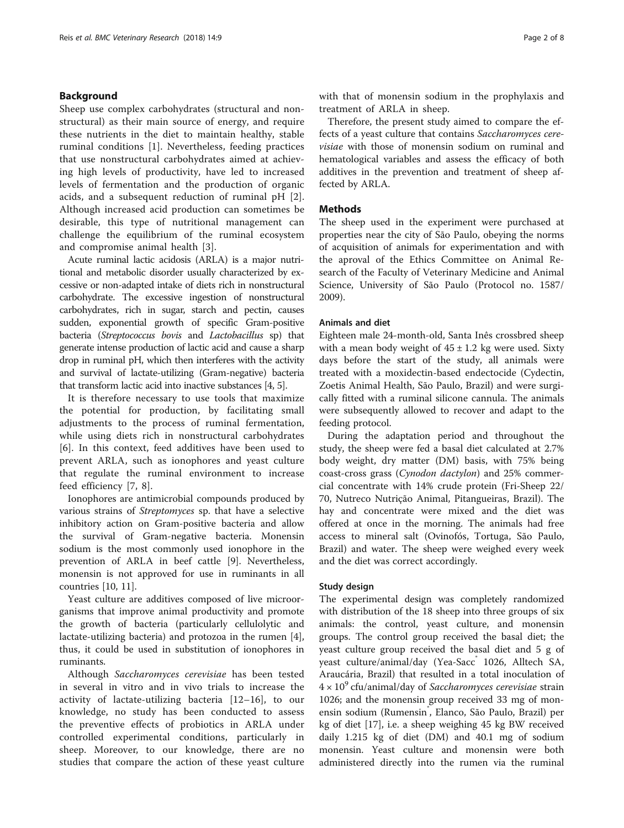## Background

Sheep use complex carbohydrates (structural and nonstructural) as their main source of energy, and require these nutrients in the diet to maintain healthy, stable ruminal conditions [[1\]](#page-7-0). Nevertheless, feeding practices that use nonstructural carbohydrates aimed at achieving high levels of productivity, have led to increased levels of fermentation and the production of organic acids, and a subsequent reduction of ruminal pH [\[2](#page-7-0)]. Although increased acid production can sometimes be desirable, this type of nutritional management can challenge the equilibrium of the ruminal ecosystem and compromise animal health [\[3](#page-7-0)].

Acute ruminal lactic acidosis (ARLA) is a major nutritional and metabolic disorder usually characterized by excessive or non-adapted intake of diets rich in nonstructural carbohydrate. The excessive ingestion of nonstructural carbohydrates, rich in sugar, starch and pectin, causes sudden, exponential growth of specific Gram-positive bacteria (Streptococcus bovis and Lactobacillus sp) that generate intense production of lactic acid and cause a sharp drop in ruminal pH, which then interferes with the activity and survival of lactate-utilizing (Gram-negative) bacteria that transform lactic acid into inactive substances [\[4](#page-7-0), [5](#page-7-0)].

It is therefore necessary to use tools that maximize the potential for production, by facilitating small adjustments to the process of ruminal fermentation, while using diets rich in nonstructural carbohydrates [[6\]](#page-7-0). In this context, feed additives have been used to prevent ARLA, such as ionophores and yeast culture that regulate the ruminal environment to increase feed efficiency [\[7](#page-7-0), [8](#page-7-0)].

Ionophores are antimicrobial compounds produced by various strains of Streptomyces sp. that have a selective inhibitory action on Gram-positive bacteria and allow the survival of Gram-negative bacteria. Monensin sodium is the most commonly used ionophore in the prevention of ARLA in beef cattle [\[9\]](#page-7-0). Nevertheless, monensin is not approved for use in ruminants in all countries [[10](#page-7-0), [11](#page-7-0)].

Yeast culture are additives composed of live microorganisms that improve animal productivity and promote the growth of bacteria (particularly cellulolytic and lactate-utilizing bacteria) and protozoa in the rumen [\[4](#page-7-0)], thus, it could be used in substitution of ionophores in ruminants.

Although Saccharomyces cerevisiae has been tested in several in vitro and in vivo trials to increase the activity of lactate-utilizing bacteria [[12](#page-7-0)–[16\]](#page-7-0), to our knowledge, no study has been conducted to assess the preventive effects of probiotics in ARLA under controlled experimental conditions, particularly in sheep. Moreover, to our knowledge, there are no studies that compare the action of these yeast culture with that of monensin sodium in the prophylaxis and treatment of ARLA in sheep.

Therefore, the present study aimed to compare the effects of a yeast culture that contains Saccharomyces cerevisiae with those of monensin sodium on ruminal and hematological variables and assess the efficacy of both additives in the prevention and treatment of sheep affected by ARLA.

#### **Methods**

The sheep used in the experiment were purchased at properties near the city of São Paulo, obeying the norms of acquisition of animals for experimentation and with the aproval of the Ethics Committee on Animal Research of the Faculty of Veterinary Medicine and Animal Science, University of São Paulo (Protocol no. 1587/ 2009).

#### Animals and diet

Eighteen male 24-month-old, Santa Inês crossbred sheep with a mean body weight of  $45 \pm 1.2$  kg were used. Sixty days before the start of the study, all animals were treated with a moxidectin-based endectocide (Cydectin, Zoetis Animal Health, São Paulo, Brazil) and were surgically fitted with a ruminal silicone cannula. The animals were subsequently allowed to recover and adapt to the feeding protocol.

During the adaptation period and throughout the study, the sheep were fed a basal diet calculated at 2.7% body weight, dry matter (DM) basis, with 75% being coast-cross grass (Cynodon dactylon) and 25% commercial concentrate with 14% crude protein (Fri-Sheep 22/ 70, Nutreco Nutrição Animal, Pitangueiras, Brazil). The hay and concentrate were mixed and the diet was offered at once in the morning. The animals had free access to mineral salt (Ovinofós, Tortuga, São Paulo, Brazil) and water. The sheep were weighed every week and the diet was correct accordingly.

#### Study design

The experimental design was completely randomized with distribution of the 18 sheep into three groups of six animals: the control, yeast culture, and monensin groups. The control group received the basal diet; the yeast culture group received the basal diet and 5 g of yeast culture/animal/day (Yea-Sacc<sup>®</sup> 1026, Alltech SA, Araucária, Brazil) that resulted in a total inoculation of  $4 \times 10^{9}$  cfu/animal/day of Saccharomyces cerevisiae strain 1026; and the monensin group received 33 mg of monensin sodium (Rumensin<sup>°</sup>, Elanco, São Paulo, Brazil) per kg of diet [\[17](#page-7-0)], i.e. a sheep weighing 45 kg BW received daily 1.215 kg of diet (DM) and 40.1 mg of sodium monensin. Yeast culture and monensin were both administered directly into the rumen via the ruminal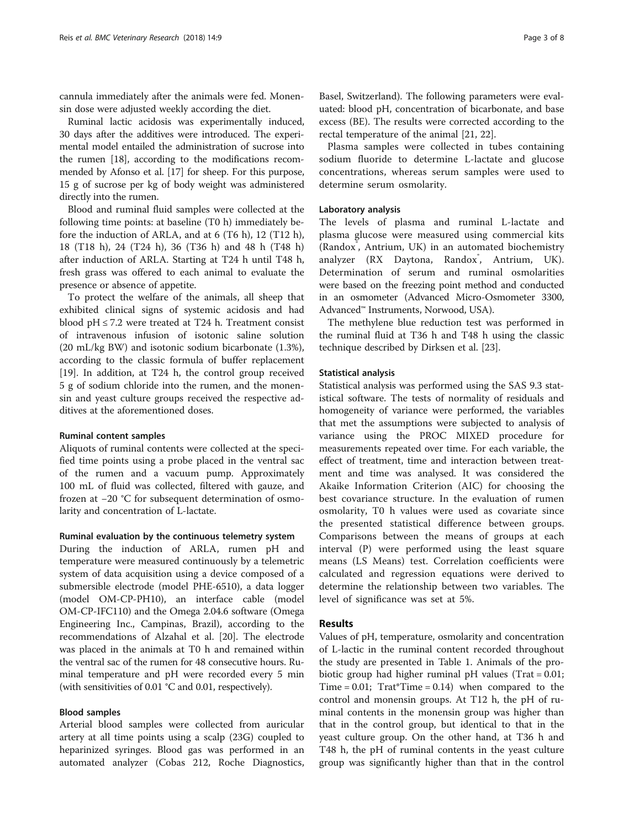cannula immediately after the animals were fed. Monensin dose were adjusted weekly according the diet.

Ruminal lactic acidosis was experimentally induced, 30 days after the additives were introduced. The experimental model entailed the administration of sucrose into the rumen [[18](#page-7-0)], according to the modifications recommended by Afonso et al. [[17](#page-7-0)] for sheep. For this purpose, 15 g of sucrose per kg of body weight was administered directly into the rumen.

Blood and ruminal fluid samples were collected at the following time points: at baseline (T0 h) immediately before the induction of ARLA, and at 6 (T6 h), 12 (T12 h), 18 (T18 h), 24 (T24 h), 36 (T36 h) and 48 h (T48 h) after induction of ARLA. Starting at T24 h until T48 h, fresh grass was offered to each animal to evaluate the presence or absence of appetite.

To protect the welfare of the animals, all sheep that exhibited clinical signs of systemic acidosis and had blood  $pH \le 7.2$  were treated at T24 h. Treatment consist of intravenous infusion of isotonic saline solution (20 mL/kg BW) and isotonic sodium bicarbonate (1.3%), according to the classic formula of buffer replacement [[19\]](#page-7-0). In addition, at T24 h, the control group received 5 g of sodium chloride into the rumen, and the monensin and yeast culture groups received the respective additives at the aforementioned doses.

#### Ruminal content samples

Aliquots of ruminal contents were collected at the specified time points using a probe placed in the ventral sac of the rumen and a vacuum pump. Approximately 100 mL of fluid was collected, filtered with gauze, and frozen at −20 °C for subsequent determination of osmolarity and concentration of L-lactate.

## Ruminal evaluation by the continuous telemetry system

During the induction of ARLA, rumen pH and temperature were measured continuously by a telemetric system of data acquisition using a device composed of a submersible electrode (model PHE-6510), a data logger (model OM-CP-PH10), an interface cable (model OM-CP-IFC110) and the Omega 2.04.6 software (Omega Engineering Inc., Campinas, Brazil), according to the recommendations of Alzahal et al. [\[20](#page-7-0)]. The electrode was placed in the animals at T0 h and remained within the ventral sac of the rumen for 48 consecutive hours. Ruminal temperature and pH were recorded every 5 min (with sensitivities of 0.01 °C and 0.01, respectively).

## Blood samples

Arterial blood samples were collected from auricular artery at all time points using a scalp (23G) coupled to heparinized syringes. Blood gas was performed in an automated analyzer (Cobas 212, Roche Diagnostics,

Basel, Switzerland). The following parameters were evaluated: blood pH, concentration of bicarbonate, and base excess (BE). The results were corrected according to the rectal temperature of the animal [[21](#page-7-0), [22](#page-7-0)].

Plasma samples were collected in tubes containing sodium fluoride to determine L-lactate and glucose concentrations, whereas serum samples were used to determine serum osmolarity.

## Laboratory analysis

The levels of plasma and ruminal L-lactate and plasma glucose were measured using commercial kits (Randox<sup>®</sup>, Antrium, UK) in an automated biochemistry analyzer (RX Daytona, Randox<sup>°</sup>, Antrium, UK). Determination of serum and ruminal osmolarities were based on the freezing point method and conducted in an osmometer (Advanced Micro-Osmometer 3300, Advanced™ Instruments, Norwood, USA).

The methylene blue reduction test was performed in the ruminal fluid at T36 h and T48 h using the classic technique described by Dirksen et al. [[23\]](#page-7-0).

#### Statistical analysis

Statistical analysis was performed using the SAS 9.3 statistical software. The tests of normality of residuals and homogeneity of variance were performed, the variables that met the assumptions were subjected to analysis of variance using the PROC MIXED procedure for measurements repeated over time. For each variable, the effect of treatment, time and interaction between treatment and time was analysed. It was considered the Akaike Information Criterion (AIC) for choosing the best covariance structure. In the evaluation of rumen osmolarity, T0 h values were used as covariate since the presented statistical difference between groups. Comparisons between the means of groups at each interval (P) were performed using the least square means (LS Means) test. Correlation coefficients were calculated and regression equations were derived to determine the relationship between two variables. The level of significance was set at 5%.

#### Results

Values of pH, temperature, osmolarity and concentration of L-lactic in the ruminal content recorded throughout the study are presented in Table [1](#page-3-0). Animals of the probiotic group had higher ruminal  $pH$  values (Trat = 0.01; Time =  $0.01$ ; Trat\*Time =  $0.14$ ) when compared to the control and monensin groups. At T12 h, the pH of ruminal contents in the monensin group was higher than that in the control group, but identical to that in the yeast culture group. On the other hand, at T36 h and T48 h, the pH of ruminal contents in the yeast culture group was significantly higher than that in the control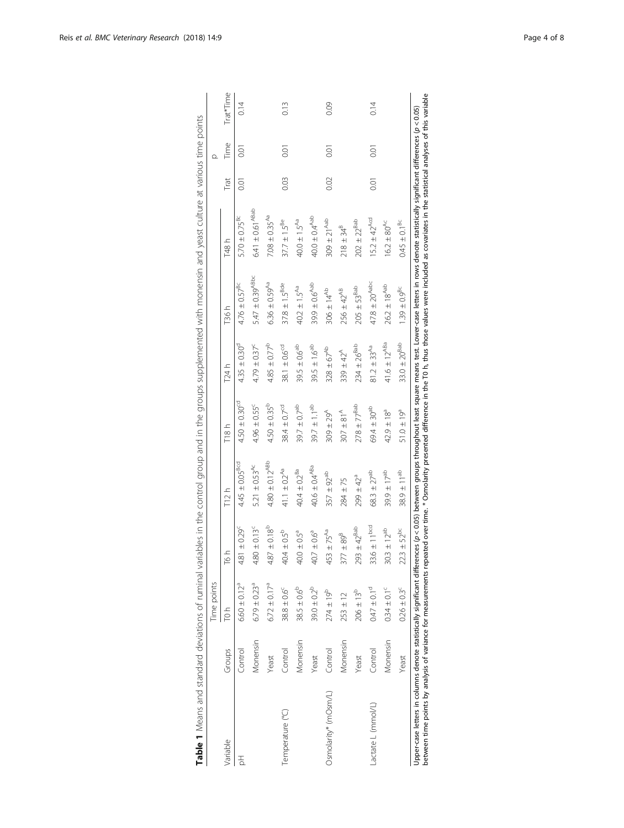<span id="page-3-0"></span>

|                      |          | Time points                  |                         |                               |                               |                              |                                 |                                 |                | $\Omega$ |           |
|----------------------|----------|------------------------------|-------------------------|-------------------------------|-------------------------------|------------------------------|---------------------------------|---------------------------------|----------------|----------|-----------|
| Variable             | Groups   | n or                         | T6 h                    | T12h                          | T18 h                         | T24 h                        | T36 h                           | T48 h                           | Trat           | Time     | Trat*Time |
| 공                    | Control  | $6.60 \pm 0.12$ <sup>a</sup> | $4.81 \pm 0.29^{\circ}$ | $4.45 \pm 0.05^{\text{Bcd}}$  | $4.50 \pm 0.30$ <sup>cd</sup> | $4.35 \pm 0.30^{\circ}$      | $4.76 \pm 0.57$ <sup>Bc</sup>   | $5.70 \pm 0.75^{\rm Bc}$        | $\overline{0}$ | 5o       | 0.14      |
|                      | Monensin | $6.79 \pm 0.23$ <sup>a</sup> | $4.80 \pm 0.13^{\circ}$ | $5.21 \pm 0.53$ <sup>AC</sup> | $4.96 \pm 0.55^{\circ}$       | $4.79 \pm 0.37^c$            | $5.47 \pm 0.39$ <sup>ABbc</sup> | $6.41 \pm 0.61$ <sup>ABab</sup> |                |          |           |
|                      | Yeast    | $6.72 \pm 0.17^{\circ}$      | $4.87 \pm 0.18^{b}$     | $4.80 \pm 0.12^{ABb}$         | $4.50 \pm 0.35^{b}$           | $4.85 \pm 0.77^{\circ}$      | $6.36 \pm 0.59^{Aa}$            | $7.08 \pm 0.35^{Aa}$            |                |          |           |
| Temperature (°C)     | Control  | $38.8 \pm 0.6^{\circ}$       | $40.4 \pm 0.5^{b}$      | 41.1 $\pm$ 0.2 <sup>Aa</sup>  | $38.4\pm0.7^{\rm cd}$         | $38.1 \pm 0.6$ <sup>cd</sup> | $37.8 \pm 1.5^{\rm Bde}$        | $37.7 \pm 1.5^{\rm Be}$         | 0.03           | 0.01     | 0.13      |
|                      | Monensin | $38.5 \pm 0.6^{b}$           | $40.0 \pm 0.5^{\circ}$  | $40.4 \pm 0.2^{Ba}$           | $39.7 \pm 0.7^{ab}$           | $39.5 \pm 0.6^{ab}$          | 40.2 $\pm$ 1.5 <sup>Aa</sup>    | $40.0 \pm 1.5^{Aa}$             |                |          |           |
|                      | Yeast    | $39.0 \pm 0.2^{b}$           | $40.7 \pm 0.6^{\circ}$  | $40.6 \pm 0.4$ <sup>ABa</sup> | $39.7 \pm 1.1^{ab}$           | $39.5 \pm 1.6^{ab}$          | $39.9 \pm 0.6^{Aab}$            | $40.0 \pm 0.4$ <sup>Aab</sup>   |                |          |           |
| Osmolarity* (mOsm/L) | Control  | $274 \pm 19^{6}$             | $453 \pm 75^{Aa}$       | $357 \pm 92^{ab}$             | $309 \pm 29^{A}$              | $328 \pm 67^{Ab}$            | $306 \pm 14^{Ab}$               | 309 $\pm$ 21 <sup>Aab</sup>     | 0.02           | 0.01     | 0.09      |
|                      | Monensin | $253 \pm 12$                 | $377 \pm 89^{\rm B}$    | $284 \pm 75$                  | $307 \pm 81^{\circ}$          | 339 ± 42 <sup>A</sup>        | $256 \pm 42^{AB}$               | $218 \pm 34^8$                  |                |          |           |
|                      | Yeast    | $206 \pm 13^{b}$             | $293 \pm 42^{Bab}$      | $299 \pm 42^a$                | $278\,\pm\,77^{\text{Bab}}$   | $234 \pm 26^\text{Bab}$      | $205 \pm 53$ <sup>Bab</sup>     | $202 \pm 22$ <sup>Bab</sup>     |                |          |           |
| Lactate L (mmol/L)   | Control  | $0.47 \pm 0.1^d$             | $33.6 \pm 11^{bcd}$     | $68.3 \pm 27^{ab}$            | $69.4 \pm 30^{ab}$            | $81.2 \pm 33^{Aa}$           | $47.8 \pm 20^{Aabc}$            | $15.2 \pm 42^{Acd}$             | 0.01           | 0.01     | 0.14      |
|                      | Monensin | $0.34 \pm 0.1^{\circ}$       | $30.3 \pm 12^{ab}$      | $39.9 \pm 17^{ab}$            | $42.9 \pm 18^{a}$             | 41.6 $\pm$ 12 <sup>ABa</sup> | $26.2 \pm 18^{Aab}$             | $16.2 \pm 80^{AC}$              |                |          |           |
|                      | Yeast    | $0.26 \pm 0.3^c$             | $22.3 \pm 52^{bc}$      | $38.9 \pm 11^{ab}$            | $51.0 \pm 19^{a}$             | $33.0 \pm 20^{Bab}$          | $1.39 \pm 0.98c$                | $0.45\pm0.1^{\text{Bc}}$        |                |          |           |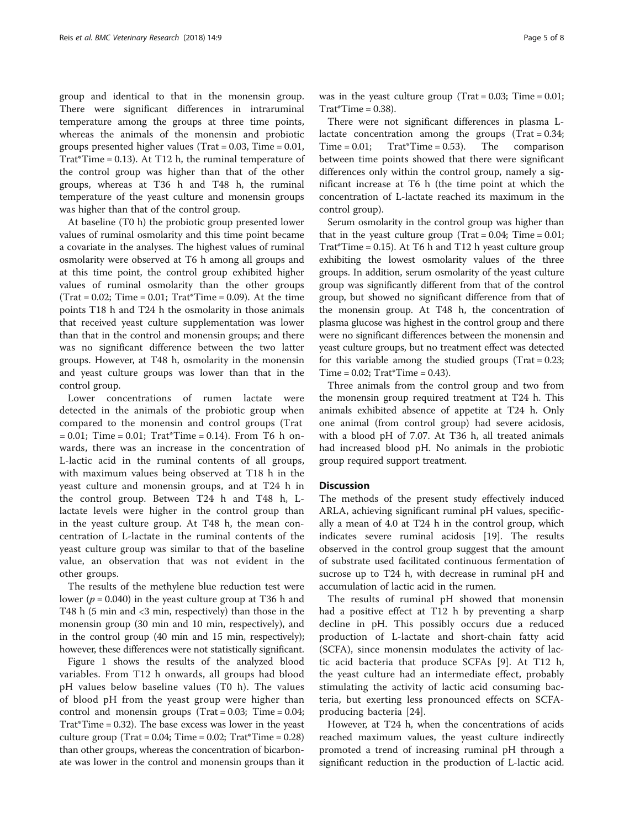group and identical to that in the monensin group. There were significant differences in intraruminal temperature among the groups at three time points, whereas the animals of the monensin and probiotic groups presented higher values (Trat =  $0.03$ , Time =  $0.01$ , Trat\*Time = 0.13). At T12 h, the ruminal temperature of the control group was higher than that of the other groups, whereas at T36 h and T48 h, the ruminal temperature of the yeast culture and monensin groups was higher than that of the control group.

At baseline (T0 h) the probiotic group presented lower values of ruminal osmolarity and this time point became a covariate in the analyses. The highest values of ruminal osmolarity were observed at T6 h among all groups and at this time point, the control group exhibited higher values of ruminal osmolarity than the other groups  $(Trat = 0.02; Time = 0.01; Trat*Time = 0.09)$ . At the time points T18 h and T24 h the osmolarity in those animals that received yeast culture supplementation was lower than that in the control and monensin groups; and there was no significant difference between the two latter groups. However, at T48 h, osmolarity in the monensin and yeast culture groups was lower than that in the control group.

Lower concentrations of rumen lactate were detected in the animals of the probiotic group when compared to the monensin and control groups (Trat  $= 0.01$ ; Time  $= 0.01$ ; Trat\*Time  $= 0.14$ ). From T6 h onwards, there was an increase in the concentration of L-lactic acid in the ruminal contents of all groups, with maximum values being observed at T18 h in the yeast culture and monensin groups, and at T24 h in the control group. Between T24 h and T48 h, Llactate levels were higher in the control group than in the yeast culture group. At T48 h, the mean concentration of L-lactate in the ruminal contents of the yeast culture group was similar to that of the baseline value, an observation that was not evident in the other groups.

The results of the methylene blue reduction test were lower ( $p = 0.040$ ) in the yeast culture group at T36 h and T48 h (5 min and <3 min, respectively) than those in the monensin group (30 min and 10 min, respectively), and in the control group (40 min and 15 min, respectively); however, these differences were not statistically significant.

Figure [1](#page-5-0) shows the results of the analyzed blood variables. From T12 h onwards, all groups had blood pH values below baseline values (T0 h). The values of blood pH from the yeast group were higher than control and monensin groups  $(Trat = 0.03; Time = 0.04;$ Trat\*Time = 0.32). The base excess was lower in the yeast culture group (Trat =  $0.04$ ; Time =  $0.02$ ; Trat\*Time =  $0.28$ ) than other groups, whereas the concentration of bicarbonate was lower in the control and monensin groups than it was in the yeast culture group (Trat =  $0.03$ ; Time =  $0.01$ ; Trat\*Time =  $0.38$ ).

There were not significant differences in plasma Llactate concentration among the groups  $(Trat = 0.34;$  $Time = 0.01$ ;  $Trat^*Time = 0.53$ ). The comparison between time points showed that there were significant differences only within the control group, namely a significant increase at T6 h (the time point at which the concentration of L-lactate reached its maximum in the control group).

Serum osmolarity in the control group was higher than that in the yeast culture group (Trat =  $0.04$ ; Time =  $0.01$ ; Trat\*Time = 0.15). At T6 h and T12 h yeast culture group exhibiting the lowest osmolarity values of the three groups. In addition, serum osmolarity of the yeast culture group was significantly different from that of the control group, but showed no significant difference from that of the monensin group. At T48 h, the concentration of plasma glucose was highest in the control group and there were no significant differences between the monensin and yeast culture groups, but no treatment effect was detected for this variable among the studied groups  $(Trat = 0.23;$  $Time = 0.02$ ;  $Trat*Time = 0.43$ ).

Three animals from the control group and two from the monensin group required treatment at T24 h. This animals exhibited absence of appetite at T24 h. Only one animal (from control group) had severe acidosis, with a blood pH of 7.07. At T36 h, all treated animals had increased blood pH. No animals in the probiotic group required support treatment.

## **Discussion**

The methods of the present study effectively induced ARLA, achieving significant ruminal pH values, specifically a mean of 4.0 at T24 h in the control group, which indicates severe ruminal acidosis [[19](#page-7-0)]. The results observed in the control group suggest that the amount of substrate used facilitated continuous fermentation of sucrose up to T24 h, with decrease in ruminal pH and accumulation of lactic acid in the rumen.

The results of ruminal pH showed that monensin had a positive effect at T12 h by preventing a sharp decline in pH. This possibly occurs due a reduced production of L-lactate and short-chain fatty acid (SCFA), since monensin modulates the activity of lactic acid bacteria that produce SCFAs [[9\]](#page-7-0). At T12 h, the yeast culture had an intermediate effect, probably stimulating the activity of lactic acid consuming bacteria, but exerting less pronounced effects on SCFAproducing bacteria [[24](#page-7-0)].

However, at T24 h, when the concentrations of acids reached maximum values, the yeast culture indirectly promoted a trend of increasing ruminal pH through a significant reduction in the production of L-lactic acid.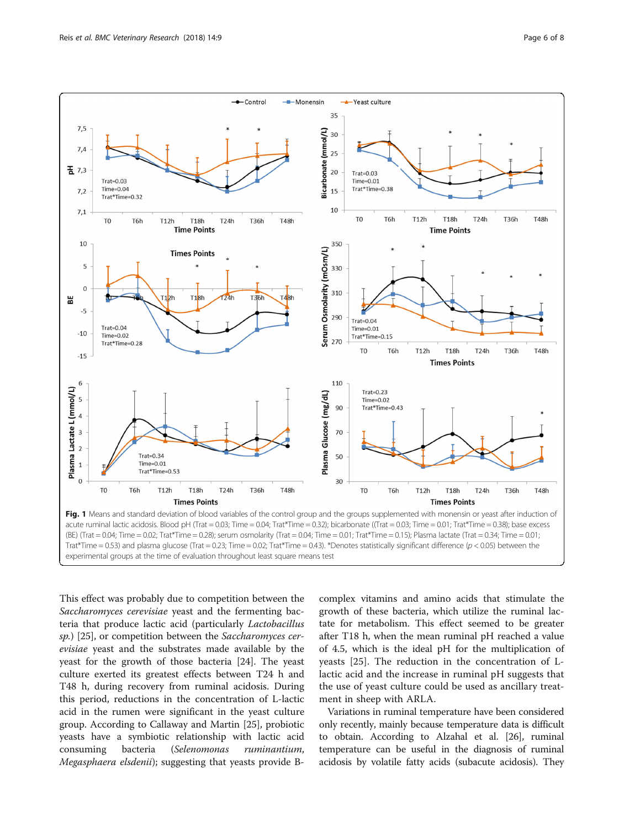<span id="page-5-0"></span>

This effect was probably due to competition between the Saccharomyces cerevisiae yeast and the fermenting bacteria that produce lactic acid (particularly Lactobacillus sp.) [[25\]](#page-7-0), or competition between the Saccharomyces cerevisiae yeast and the substrates made available by the yeast for the growth of those bacteria [\[24](#page-7-0)]. The yeast culture exerted its greatest effects between T24 h and T48 h, during recovery from ruminal acidosis. During this period, reductions in the concentration of L-lactic acid in the rumen were significant in the yeast culture group. According to Callaway and Martin [\[25](#page-7-0)], probiotic yeasts have a symbiotic relationship with lactic acid consuming bacteria (Selenomonas ruminantium, Megasphaera elsdenii); suggesting that yeasts provide B-

complex vitamins and amino acids that stimulate the growth of these bacteria, which utilize the ruminal lactate for metabolism. This effect seemed to be greater after T18 h, when the mean ruminal pH reached a value of 4.5, which is the ideal pH for the multiplication of yeasts [\[25](#page-7-0)]. The reduction in the concentration of Llactic acid and the increase in ruminal pH suggests that the use of yeast culture could be used as ancillary treatment in sheep with ARLA.

Variations in ruminal temperature have been considered only recently, mainly because temperature data is difficult to obtain. According to Alzahal et al. [[26](#page-7-0)], ruminal temperature can be useful in the diagnosis of ruminal acidosis by volatile fatty acids (subacute acidosis). They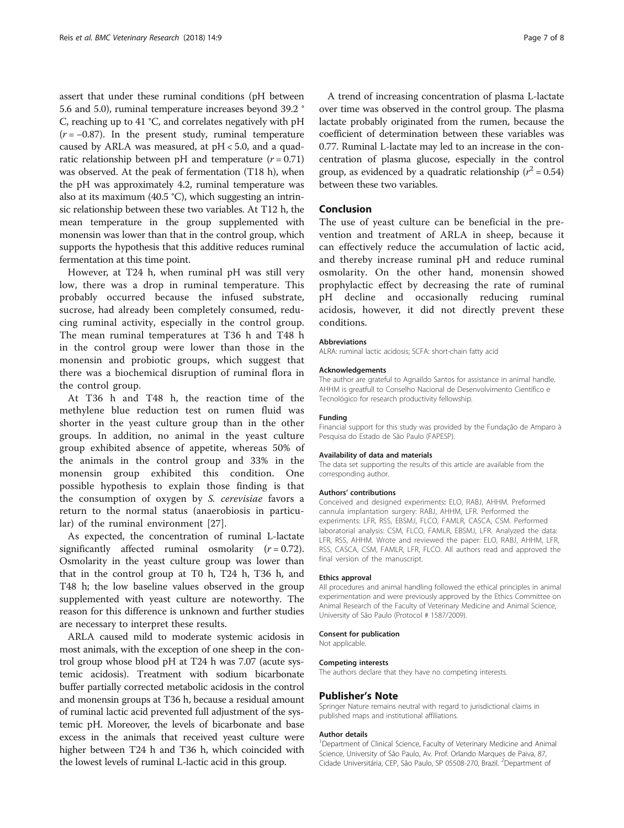assert that under these ruminal conditions (pH between 5.6 and 5.0), ruminal temperature increases beyond 39.2 ° C, reaching up to 41 °C, and correlates negatively with pH  $(r = -0.87)$ . In the present study, ruminal temperature caused by ARLA was measured, at pH < 5.0, and a quadratic relationship between pH and temperature  $(r = 0.71)$ was observed. At the peak of fermentation (T18 h), when the pH was approximately 4.2, ruminal temperature was also at its maximum (40.5 °C), which suggesting an intrinsic relationship between these two variables. At T12 h, the mean temperature in the group supplemented with monensin was lower than that in the control group, which supports the hypothesis that this additive reduces ruminal fermentation at this time point.

However, at T24 h, when ruminal pH was still very low, there was a drop in ruminal temperature. This probably occurred because the infused substrate, sucrose, had already been completely consumed, reducing ruminal activity, especially in the control group. The mean ruminal temperatures at T36 h and T48 h in the control group were lower than those in the monensin and probiotic groups, which suggest that there was a biochemical disruption of ruminal flora in the control group.

At T36 h and T48 h, the reaction time of the methylene blue reduction test on rumen fluid was shorter in the yeast culture group than in the other groups. In addition, no animal in the yeast culture group exhibited absence of appetite, whereas 50% of the animals in the control group and 33% in the monensin group exhibited this condition. One possible hypothesis to explain those finding is that the consumption of oxygen by S. cerevisiae favors a return to the normal status (anaerobiosis in particular) of the ruminal environment [[27](#page-7-0)].

As expected, the concentration of ruminal L-lactate significantly affected ruminal osmolarity  $(r = 0.72)$ . Osmolarity in the yeast culture group was lower than that in the control group at T0 h, T24 h, T36 h, and T48 h; the low baseline values observed in the group supplemented with yeast culture are noteworthy. The reason for this difference is unknown and further studies are necessary to interpret these results.

ARLA caused mild to moderate systemic acidosis in most animals, with the exception of one sheep in the control group whose blood pH at T24 h was 7.07 (acute systemic acidosis). Treatment with sodium bicarbonate buffer partially corrected metabolic acidosis in the control and monensin groups at T36 h, because a residual amount of ruminal lactic acid prevented full adjustment of the systemic pH. Moreover, the levels of bicarbonate and base excess in the animals that received yeast culture were higher between T24 h and T36 h, which coincided with the lowest levels of ruminal L-lactic acid in this group.

A trend of increasing concentration of plasma L-lactate over time was observed in the control group. The plasma lactate probably originated from the rumen, because the coefficient of determination between these variables was 0.77. Ruminal L-lactate may led to an increase in the concentration of plasma glucose, especially in the control group, as evidenced by a quadratic relationship ( $r^2 = 0.54$ ) between these two variables.

## Conclusion

The use of yeast culture can be beneficial in the prevention and treatment of ARLA in sheep, because it can effectively reduce the accumulation of lactic acid, and thereby increase ruminal pH and reduce ruminal osmolarity. On the other hand, monensin showed prophylactic effect by decreasing the rate of ruminal pH decline and occasionally reducing ruminal acidosis, however, it did not directly prevent these conditions.

#### Abbreviations

ALRA: ruminal lactic acidosis; SCFA: short-chain fatty acid

#### Acknowledgements

The author are grateful to Agnaildo Santos for assistance in animal handle. AHHM is greatfull to Conselho Nacional de Desenvolvimento Científico e Tecnológico for research productivity fellowship.

#### Funding

Financial support for this study was provided by the Fundação de Amparo à Pesquisa do Estado de São Paulo (FAPESP).

#### Availability of data and materials

The data set supporting the results of this article are available from the corresponding author.

#### Authors' contributions

Conceived and designed experiments: ELO, RABJ, AHHM. Preformed cannula implantation surgery: RABJ, AHHM, LFR. Performed the experiments: LFR, RSS, EBSMJ, FLCO, FAMLR, CASCA, CSM. Performed laboratorial analysis: CSM, FLCO, FAMLR, EBSMJ, LFR. Analyzed the data: LFR, RSS, AHHM. Wrote and reviewed the paper: ELO, RABJ, AHHM, LFR, RSS, CASCA, CSM, FAMLR, LFR, FLCO. All authors read and approved the final version of the manuscript.

#### Ethics approval

All procedures and animal handling followed the ethical principles in animal experimentation and were previously approved by the Ethics Committee on Animal Research of the Faculty of Veterinary Medicine and Animal Science, University of São Paulo (Protocol # 1587/2009).

#### Consent for publication

Not applicable.

#### Competing interests

The authors declare that they have no competing interests.

#### Publisher's Note

Springer Nature remains neutral with regard to jurisdictional claims in published maps and institutional affiliations.

#### Author details

<sup>1</sup>Department of Clinical Science, Faculty of Veterinary Medicine and Animal Science, University of São Paulo, Av. Prof. Orlando Marques de Paiva, 87, Cidade Universitária, CEP, São Paulo, SP 05508-270, Brazil. <sup>2</sup>Department of